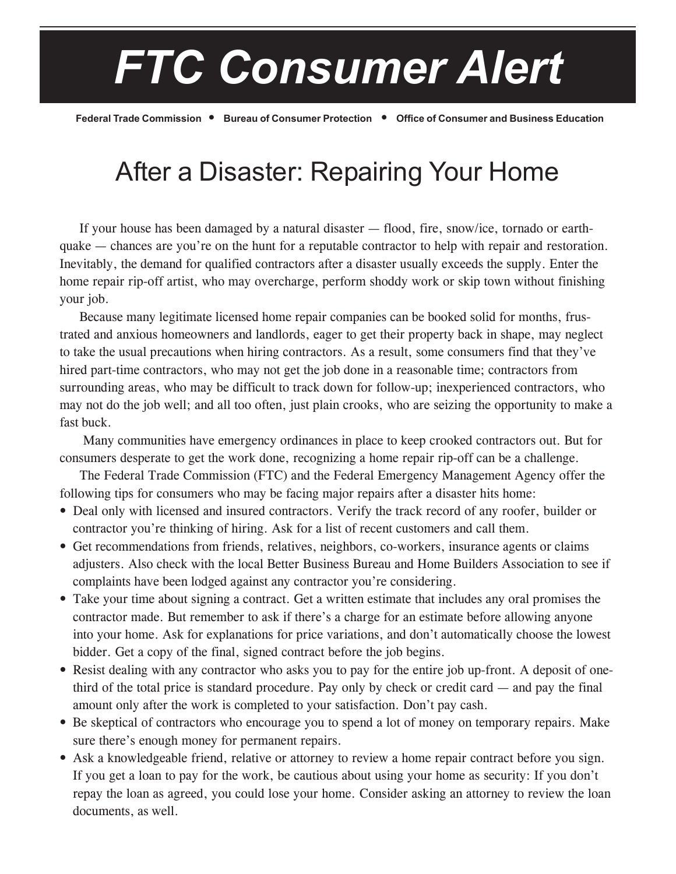## *FTC Consumer Alert*

**Federal Trade Commission** ï **Bureau of Consumer Protection** ï **Office of Consumer and Business Education**

## After a Disaster: Repairing Your Home

If your house has been damaged by a natural disaster  $-$  flood, fire, snow/ice, tornado or earthquake — chances are you're on the hunt for a reputable contractor to help with repair and restoration. Inevitably, the demand for qualified contractors after a disaster usually exceeds the supply. Enter the home repair rip-off artist, who may overcharge, perform shoddy work or skip town without finishing your job.

Because many legitimate licensed home repair companies can be booked solid for months, frustrated and anxious homeowners and landlords, eager to get their property back in shape, may neglect to take the usual precautions when hiring contractors. As a result, some consumers find that they've hired part-time contractors, who may not get the job done in a reasonable time; contractors from surrounding areas, who may be difficult to track down for follow-up; inexperienced contractors, who may not do the job well; and all too often, just plain crooks, who are seizing the opportunity to make a fast buck.

 Many communities have emergency ordinances in place to keep crooked contractors out. But for consumers desperate to get the work done, recognizing a home repair rip-off can be a challenge.

The Federal Trade Commission (FTC) and the Federal Emergency Management Agency offer the following tips for consumers who may be facing major repairs after a disaster hits home:

- Deal only with licensed and insured contractors. Verify the track record of any roofer, builder or contractor you're thinking of hiring. Ask for a list of recent customers and call them.
- Get recommendations from friends, relatives, neighbors, co-workers, insurance agents or claims adjusters. Also check with the local Better Business Bureau and Home Builders Association to see if complaints have been lodged against any contractor you're considering.
- Take your time about signing a contract. Get a written estimate that includes any oral promises the contractor made. But remember to ask if there's a charge for an estimate before allowing anyone into your home. Ask for explanations for price variations, and don't automatically choose the lowest bidder. Get a copy of the final, signed contract before the job begins.
- Resist dealing with any contractor who asks you to pay for the entire job up-front. A deposit of onethird of the total price is standard procedure. Pay only by check or credit card  $-$  and pay the final amount only after the work is completed to your satisfaction. Don't pay cash.
- Be skeptical of contractors who encourage you to spend a lot of money on temporary repairs. Make sure there's enough money for permanent repairs.
- Ask a knowledgeable friend, relative or attorney to review a home repair contract before you sign. If you get a loan to pay for the work, be cautious about using your home as security: If you don't repay the loan as agreed, you could lose your home. Consider asking an attorney to review the loan documents, as well.